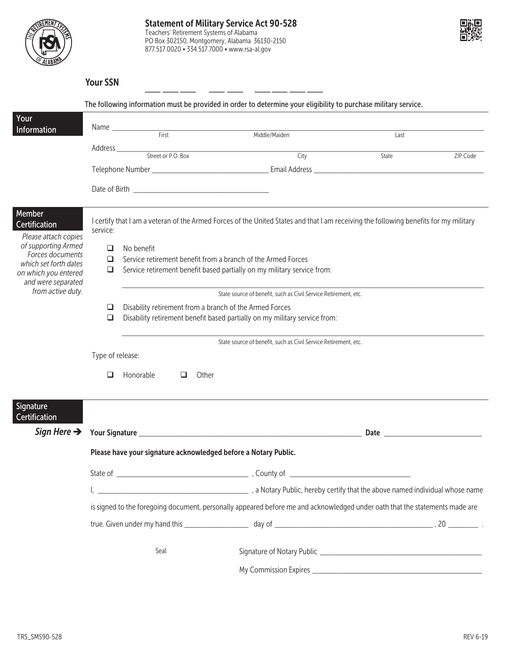



| 'N<br>our SS |
|--------------|
|              |
|              |

|                                                 |                                                                                                                             |                                                                 | The following information must be provided in order to determine your eligibility to purchase military service. |                                                                                                                                       |  |
|-------------------------------------------------|-----------------------------------------------------------------------------------------------------------------------------|-----------------------------------------------------------------|-----------------------------------------------------------------------------------------------------------------|---------------------------------------------------------------------------------------------------------------------------------------|--|
| Your<br>Information                             |                                                                                                                             | Name First                                                      |                                                                                                                 |                                                                                                                                       |  |
|                                                 |                                                                                                                             |                                                                 | Middle/Maiden                                                                                                   | Last                                                                                                                                  |  |
|                                                 |                                                                                                                             |                                                                 | City                                                                                                            | State<br>ZIP Code                                                                                                                     |  |
|                                                 |                                                                                                                             |                                                                 |                                                                                                                 |                                                                                                                                       |  |
|                                                 |                                                                                                                             |                                                                 |                                                                                                                 |                                                                                                                                       |  |
| Member<br>Certification<br>Please attach copies | service:                                                                                                                    |                                                                 |                                                                                                                 | I certify that I am a veteran of the Armed Forces of the United States and that I am receiving the following benefits for my military |  |
| of supporting Armed                             | ❏                                                                                                                           | No benefit                                                      |                                                                                                                 |                                                                                                                                       |  |
| Forces documents<br>which set forth dates       | Service retirement benefit from a branch of the Armed Forces<br>◻                                                           |                                                                 |                                                                                                                 |                                                                                                                                       |  |
| on which you entered<br>and were separated      | Service retirement benefit based partially on my military service from:<br>❏                                                |                                                                 |                                                                                                                 |                                                                                                                                       |  |
| from active duty.                               | State source of benefit, such as Civil Service Retirement, etc.                                                             |                                                                 |                                                                                                                 |                                                                                                                                       |  |
|                                                 | Disability retirement from a branch of the Armed Forces<br>❏                                                                |                                                                 |                                                                                                                 |                                                                                                                                       |  |
|                                                 | $\Box$                                                                                                                      |                                                                 | Disability retirement benefit based partially on my military service from:                                      |                                                                                                                                       |  |
|                                                 |                                                                                                                             |                                                                 | State source of benefit, such as Civil Service Retirement, etc.                                                 |                                                                                                                                       |  |
|                                                 | Type of release:                                                                                                            |                                                                 |                                                                                                                 |                                                                                                                                       |  |
|                                                 | ❏                                                                                                                           | Honorable<br>□<br>Other                                         |                                                                                                                 |                                                                                                                                       |  |
| Signature<br>Certification                      |                                                                                                                             |                                                                 |                                                                                                                 |                                                                                                                                       |  |
|                                                 |                                                                                                                             |                                                                 | Sign Here > Your Signature                                                                                      | Date <u>successors</u>                                                                                                                |  |
|                                                 |                                                                                                                             | Please have your signature acknowledged before a Notary Public. |                                                                                                                 |                                                                                                                                       |  |
|                                                 |                                                                                                                             |                                                                 |                                                                                                                 |                                                                                                                                       |  |
|                                                 |                                                                                                                             |                                                                 |                                                                                                                 | a Notary Public, hereby certify that the above named individual whose name (2014) and More in the above named individual whose name   |  |
|                                                 | is signed to the foregoing document, personally appeared before me and acknowledged under oath that the statements made are |                                                                 |                                                                                                                 |                                                                                                                                       |  |
|                                                 |                                                                                                                             |                                                                 |                                                                                                                 |                                                                                                                                       |  |
|                                                 |                                                                                                                             | Seal                                                            |                                                                                                                 |                                                                                                                                       |  |
|                                                 |                                                                                                                             |                                                                 |                                                                                                                 |                                                                                                                                       |  |